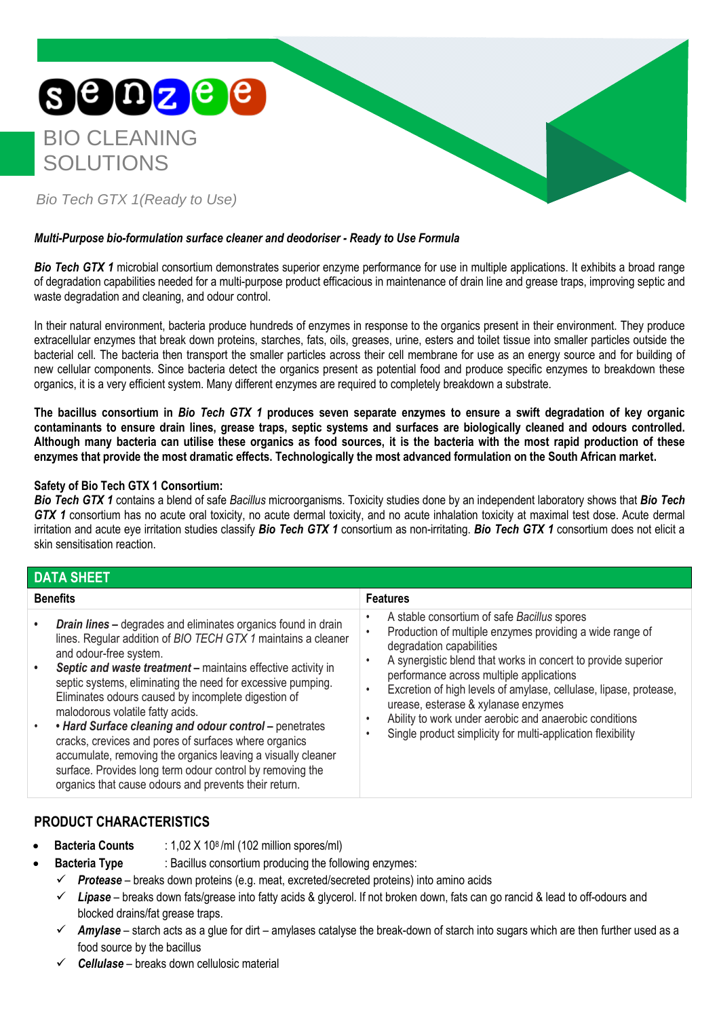

## *Multi-Purpose bio-formulation surface cleaner and deodoriser - Ready to Use Formula*

**Bio Tech GTX 1** microbial consortium demonstrates superior enzyme performance for use in multiple applications. It exhibits a broad range of degradation capabilities needed for a multi-purpose product efficacious in maintenance of drain line and grease traps, improving septic and waste degradation and cleaning, and odour control.

In their natural environment, bacteria produce hundreds of enzymes in response to the organics present in their environment. They produce extracellular enzymes that break down proteins, starches, fats, oils, greases, urine, esters and toilet tissue into smaller particles outside the bacterial cell. The bacteria then transport the smaller particles across their cell membrane for use as an energy source and for building of new cellular components. Since bacteria detect the organics present as potential food and produce specific enzymes to breakdown these organics, it is a very efficient system. Many different enzymes are required to completely breakdown a substrate.

**The bacillus consortium in** *Bio Tech GTX 1* **produces seven separate enzymes to ensure a swift degradation of key organic contaminants to ensure drain lines, grease traps, septic systems and surfaces are biologically cleaned and odours controlled. Although many bacteria can utilise these organics as food sources, it is the bacteria with the most rapid production of these enzymes that provide the most dramatic effects. Technologically the most advanced formulation on the South African market.**

### **Safety of Bio Tech GTX 1 Consortium:**

*Bio Tech GTX 1* contains a blend of safe *Bacillus* microorganisms. Toxicity studies done by an independent laboratory shows that *Bio Tech GTX 1* consortium has no acute oral toxicity, no acute dermal toxicity, and no acute inhalation toxicity at maximal test dose. Acute dermal irritation and acute eye irritation studies classify *Bio Tech GTX 1* consortium as non-irritating. *Bio Tech GTX 1* consortium does not elicit a skin sensitisation reaction.

| <b>DATA SHEET</b> |  |  |
|-------------------|--|--|
|                   |  |  |

| <b>Benefits</b>                                                                                                                                                                                                                                                                                                                                                                                                                                                                                                                                                                                                                                                                                                                           | <b>Features</b>                                                                                                                                                                                                                                                                                                                                                                                                                                                                       |  |  |  |  |
|-------------------------------------------------------------------------------------------------------------------------------------------------------------------------------------------------------------------------------------------------------------------------------------------------------------------------------------------------------------------------------------------------------------------------------------------------------------------------------------------------------------------------------------------------------------------------------------------------------------------------------------------------------------------------------------------------------------------------------------------|---------------------------------------------------------------------------------------------------------------------------------------------------------------------------------------------------------------------------------------------------------------------------------------------------------------------------------------------------------------------------------------------------------------------------------------------------------------------------------------|--|--|--|--|
| <b>Drain lines - degrades and eliminates organics found in drain</b><br>$\bullet$<br>lines. Regular addition of BIO TECH GTX 1 maintains a cleaner<br>and odour-free system.<br>Septic and waste treatment - maintains effective activity in<br>$\bullet$<br>septic systems, eliminating the need for excessive pumping.<br>Eliminates odours caused by incomplete digestion of<br>malodorous volatile fatty acids.<br>. Hard Surface cleaning and odour control - penetrates<br>$\bullet$<br>cracks, crevices and pores of surfaces where organics<br>accumulate, removing the organics leaving a visually cleaner<br>surface. Provides long term odour control by removing the<br>organics that cause odours and prevents their return. | A stable consortium of safe Bacillus spores<br>Production of multiple enzymes providing a wide range of<br>degradation capabilities<br>A synergistic blend that works in concert to provide superior<br>performance across multiple applications<br>Excretion of high levels of amylase, cellulase, lipase, protease,<br>urease, esterase & xylanase enzymes<br>Ability to work under aerobic and anaerobic conditions<br>Single product simplicity for multi-application flexibility |  |  |  |  |

## **PRODUCT CHARACTERISTICS**

- **Bacteria Counts** : 1,02 X 108 /ml (102 million spores/ml)
	- **Bacteria Type** : Bacillus consortium producing the following enzymes:
	- ✓ *Protease* breaks down proteins (e.g. meat, excreted/secreted proteins) into amino acids
	- ✓ *Lipase* breaks down fats/grease into fatty acids & glycerol. If not broken down, fats can go rancid & lead to off-odours and blocked drains/fat grease traps.
	- ✓ *Amylase* starch acts as a glue for dirt amylases catalyse the break-down of starch into sugars which are then further used as a food source by the bacillus
	- ✓ *Cellulase* breaks down cellulosic material